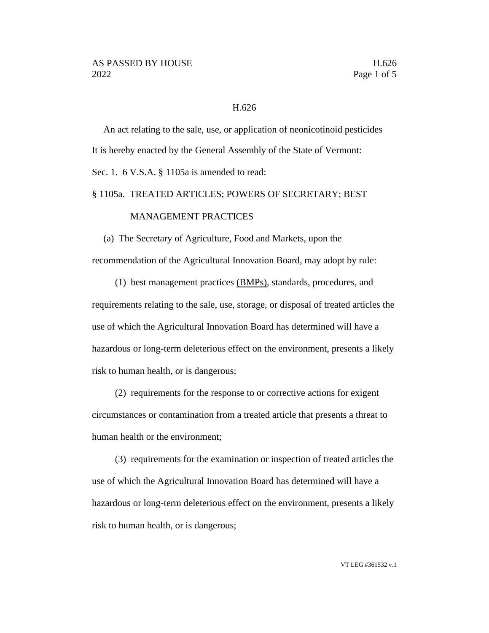#### H.626

An act relating to the sale, use, or application of neonicotinoid pesticides It is hereby enacted by the General Assembly of the State of Vermont: Sec. 1. 6 V.S.A. § 1105a is amended to read:

### § 1105a. TREATED ARTICLES; POWERS OF SECRETARY; BEST

## MANAGEMENT PRACTICES

(a) The Secretary of Agriculture, Food and Markets, upon the recommendation of the Agricultural Innovation Board, may adopt by rule:

(1) best management practices (BMPs), standards, procedures, and requirements relating to the sale, use, storage, or disposal of treated articles the use of which the Agricultural Innovation Board has determined will have a hazardous or long-term deleterious effect on the environment, presents a likely risk to human health, or is dangerous;

(2) requirements for the response to or corrective actions for exigent circumstances or contamination from a treated article that presents a threat to human health or the environment;

(3) requirements for the examination or inspection of treated articles the use of which the Agricultural Innovation Board has determined will have a hazardous or long-term deleterious effect on the environment, presents a likely risk to human health, or is dangerous;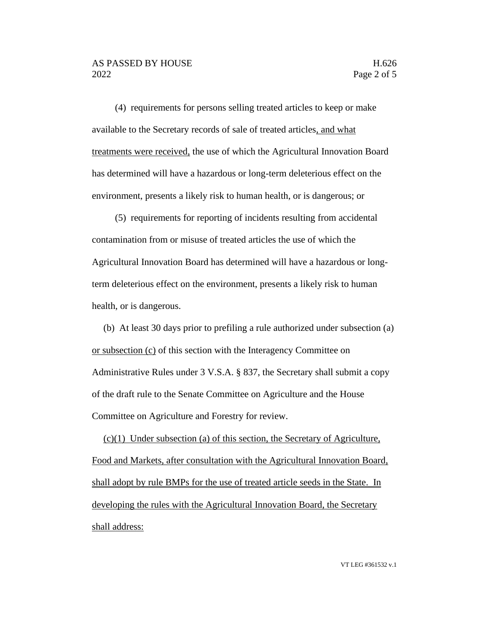(4) requirements for persons selling treated articles to keep or make available to the Secretary records of sale of treated articles, and what treatments were received, the use of which the Agricultural Innovation Board has determined will have a hazardous or long-term deleterious effect on the environment, presents a likely risk to human health, or is dangerous; or

(5) requirements for reporting of incidents resulting from accidental contamination from or misuse of treated articles the use of which the Agricultural Innovation Board has determined will have a hazardous or longterm deleterious effect on the environment, presents a likely risk to human health, or is dangerous.

(b) At least 30 days prior to prefiling a rule authorized under subsection (a) or subsection (c) of this section with the Interagency Committee on Administrative Rules under 3 V.S.A. § 837, the Secretary shall submit a copy of the draft rule to the Senate Committee on Agriculture and the House Committee on Agriculture and Forestry for review.

(c)(1) Under subsection (a) of this section, the Secretary of Agriculture, Food and Markets, after consultation with the Agricultural Innovation Board, shall adopt by rule BMPs for the use of treated article seeds in the State. In developing the rules with the Agricultural Innovation Board, the Secretary shall address: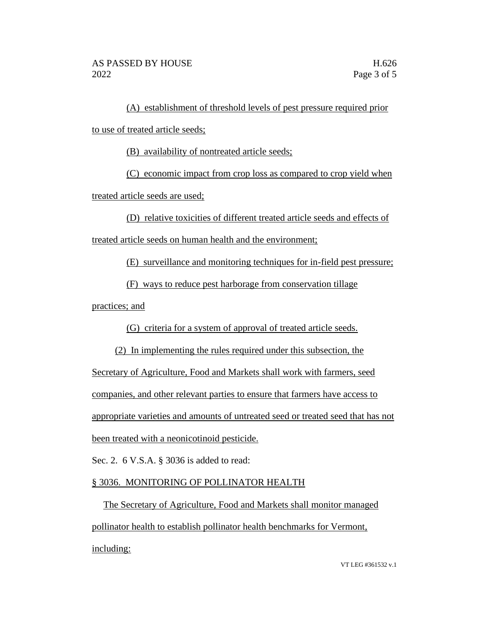(A) establishment of threshold levels of pest pressure required prior to use of treated article seeds;

(B) availability of nontreated article seeds;

(C) economic impact from crop loss as compared to crop yield when

treated article seeds are used;

(D) relative toxicities of different treated article seeds and effects of

treated article seeds on human health and the environment;

(E) surveillance and monitoring techniques for in-field pest pressure;

(F) ways to reduce pest harborage from conservation tillage

practices; and

(G) criteria for a system of approval of treated article seeds.

(2) In implementing the rules required under this subsection, the

Secretary of Agriculture, Food and Markets shall work with farmers, seed

companies, and other relevant parties to ensure that farmers have access to

appropriate varieties and amounts of untreated seed or treated seed that has not

been treated with a neonicotinoid pesticide.

Sec. 2. 6 V.S.A. § 3036 is added to read:

# § 3036. MONITORING OF POLLINATOR HEALTH

The Secretary of Agriculture, Food and Markets shall monitor managed pollinator health to establish pollinator health benchmarks for Vermont, including:

VT LEG #361532 v.1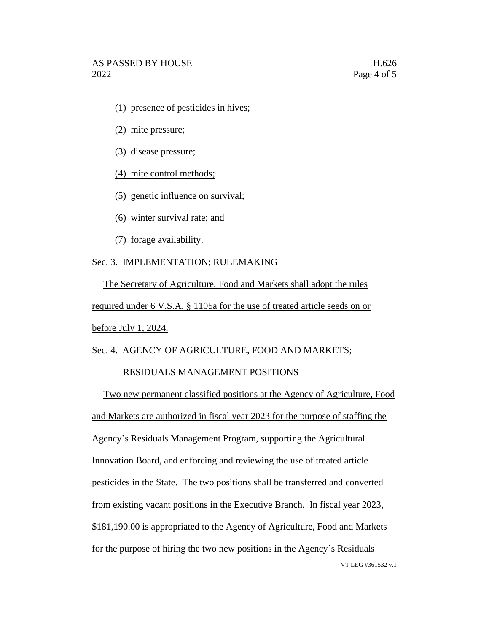(1) presence of pesticides in hives;

(2) mite pressure;

(3) disease pressure;

(4) mite control methods;

(5) genetic influence on survival;

(6) winter survival rate; and

(7) forage availability.

Sec. 3. IMPLEMENTATION; RULEMAKING

The Secretary of Agriculture, Food and Markets shall adopt the rules required under 6 V.S.A. § 1105a for the use of treated article seeds on or before July 1, 2024.

Sec. 4. AGENCY OF AGRICULTURE, FOOD AND MARKETS;

### RESIDUALS MANAGEMENT POSITIONS

VT LEG #361532 v.1 Two new permanent classified positions at the Agency of Agriculture, Food and Markets are authorized in fiscal year 2023 for the purpose of staffing the Agency's Residuals Management Program, supporting the Agricultural Innovation Board, and enforcing and reviewing the use of treated article pesticides in the State. The two positions shall be transferred and converted from existing vacant positions in the Executive Branch. In fiscal year 2023, \$181,190.00 is appropriated to the Agency of Agriculture, Food and Markets for the purpose of hiring the two new positions in the Agency's Residuals